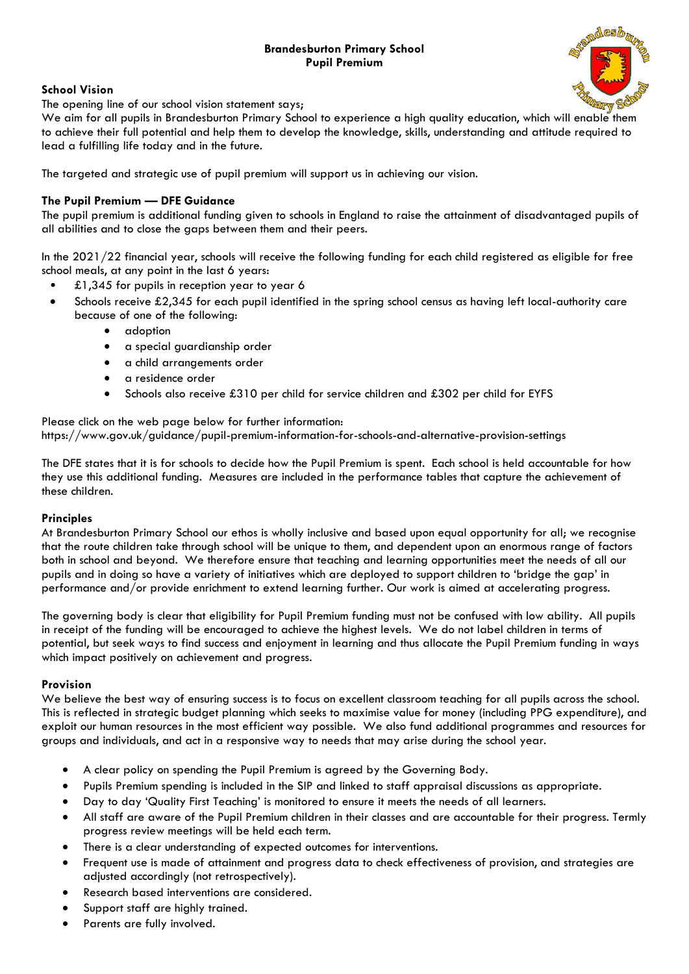# **Brandesburton Primary School Pupil Premium**



## **School Vision**

The opening line of our school vision statement says;

We aim for all pupils in Brandesburton Primary School to experience a high quality education, which will enable them to achieve their full potential and help them to develop the knowledge, skills, understanding and attitude required to lead a fulfilling life today and in the future.

The targeted and strategic use of pupil premium will support us in achieving our vision.

## **The Pupil Premium — DFE Guidance**

The pupil premium is additional funding given to schools in England to raise the attainment of disadvantaged pupils of all abilities and to close the gaps between them and their peers.

In the 2021/22 financial year, schools will receive the following funding for each child registered as eligible for free school meals, at any point in the last 6 years:

- £1,345 for pupils in reception year to year 6
- Schools receive £2,345 for each pupil identified in the spring school census as having left local-authority care because of one of the following:
	- adoption
	- a special guardianship order
	- a child arrangements order
	- a residence order
	- Schools also receive £310 per child for service children and £302 per child for EYFS

#### Please click on the web page below for further information: https://www.gov.uk/guidance/pupil-premium-information-for-schools-and-alternative-provision-settings

The DFE states that it is for schools to decide how the Pupil Premium is spent. Each school is held accountable for how they use this additional funding. Measures are included in the performance tables that capture the achievement of these children.

## **Principles**

At Brandesburton Primary School our ethos is wholly inclusive and based upon equal opportunity for all; we recognise that the route children take through school will be unique to them, and dependent upon an enormous range of factors both in school and beyond. We therefore ensure that teaching and learning opportunities meet the needs of all our pupils and in doing so have a variety of initiatives which are deployed to support children to 'bridge the gap' in performance and/or provide enrichment to extend learning further. Our work is aimed at accelerating progress.

The governing body is clear that eligibility for Pupil Premium funding must not be confused with low ability. All pupils in receipt of the funding will be encouraged to achieve the highest levels. We do not label children in terms of potential, but seek ways to find success and enjoyment in learning and thus allocate the Pupil Premium funding in ways which impact positively on achievement and progress.

#### **Provision**

We believe the best way of ensuring success is to focus on excellent classroom teaching for all pupils across the school. This is reflected in strategic budget planning which seeks to maximise value for money (including PPG expenditure), and exploit our human resources in the most efficient way possible. We also fund additional programmes and resources for groups and individuals, and act in a responsive way to needs that may arise during the school year.

- A clear policy on spending the Pupil Premium is agreed by the Governing Body.
- Pupils Premium spending is included in the SIP and linked to staff appraisal discussions as appropriate.
- Day to day 'Quality First Teaching' is monitored to ensure it meets the needs of all learners.
- All staff are aware of the Pupil Premium children in their classes and are accountable for their progress. Termly progress review meetings will be held each term.
- There is a clear understanding of expected outcomes for interventions.
- Frequent use is made of attainment and progress data to check effectiveness of provision, and strategies are adjusted accordingly (not retrospectively).
- Research based interventions are considered.
- Support staff are highly trained.
- Parents are fully involved.